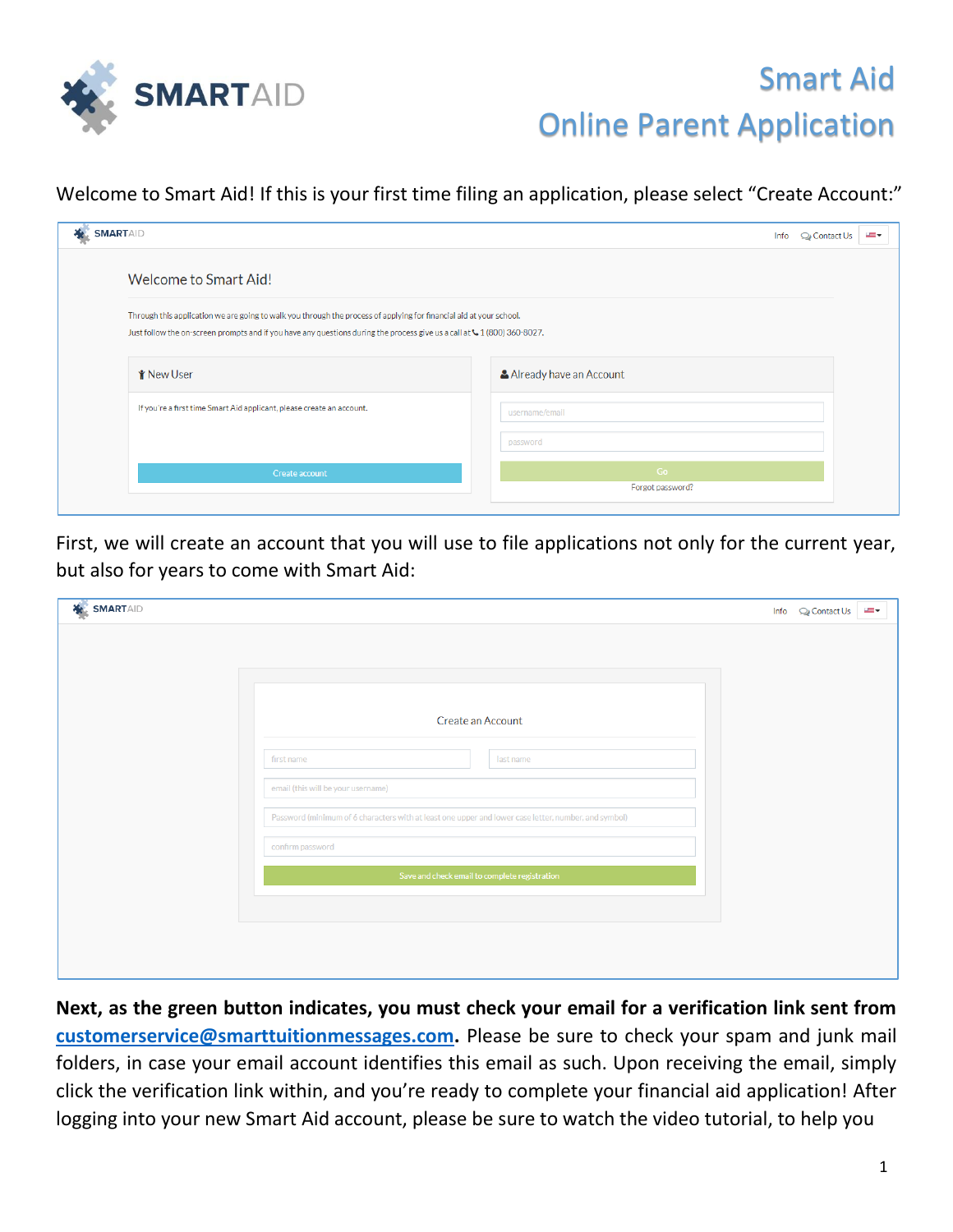

## Smart Aid Online Parent Application

## Welcome to Smart Aid! If this is your first time filing an application, please select "Create Account:"

| SMARTAID                                                                                                                                                                                                                                         | Info<br>$Q_2$ Contact Us | and w |
|--------------------------------------------------------------------------------------------------------------------------------------------------------------------------------------------------------------------------------------------------|--------------------------|-------|
| Welcome to Smart Aid!                                                                                                                                                                                                                            |                          |       |
| Through this application we are going to walk you through the process of applying for financial aid at your school.<br>Just follow the on-screen prompts and if you have any questions during the process give us a call at 4: 1 (800) 360-8027. |                          |       |
| <b>Y</b> New User                                                                                                                                                                                                                                | Already have an Account  |       |
| If you're a first time Smart Aid applicant, please create an account.                                                                                                                                                                            | username/email           |       |
|                                                                                                                                                                                                                                                  | password                 |       |
| Create account                                                                                                                                                                                                                                   | Go<br>Forgot password?   |       |
|                                                                                                                                                                                                                                                  |                          |       |

First, we will create an account that you will use to file applications not only for the current year, but also for years to come with Smart Aid:

| <b>X</b> SMARTAID |                                                                                                      |                                               | Info Q Contact Us<br>and w |
|-------------------|------------------------------------------------------------------------------------------------------|-----------------------------------------------|----------------------------|
|                   |                                                                                                      |                                               |                            |
|                   |                                                                                                      |                                               |                            |
|                   |                                                                                                      |                                               |                            |
|                   |                                                                                                      | Create an Account                             |                            |
|                   | first name                                                                                           | last name                                     |                            |
|                   | email (this will be your username)                                                                   |                                               |                            |
|                   | Password (minimum of 6 characters with at least one upper and lower case letter, number, and symbol) |                                               |                            |
|                   | confirm password                                                                                     |                                               |                            |
|                   |                                                                                                      | Save and check email to complete registration |                            |
|                   |                                                                                                      |                                               |                            |
|                   |                                                                                                      |                                               |                            |
|                   |                                                                                                      |                                               |                            |
|                   |                                                                                                      |                                               |                            |

**Next, as the green button indicates, you must check your email for a verification link sent from customerservice@smarttuitionmessages.com.** Please be sure to check your spam and junk mail folders, in case your email account identifies this email as such. Upon receiving the email, simply click the verification link within, and you're ready to complete your financial aid application! After logging into your new Smart Aid account, please be sure to watch the video tutorial, to help you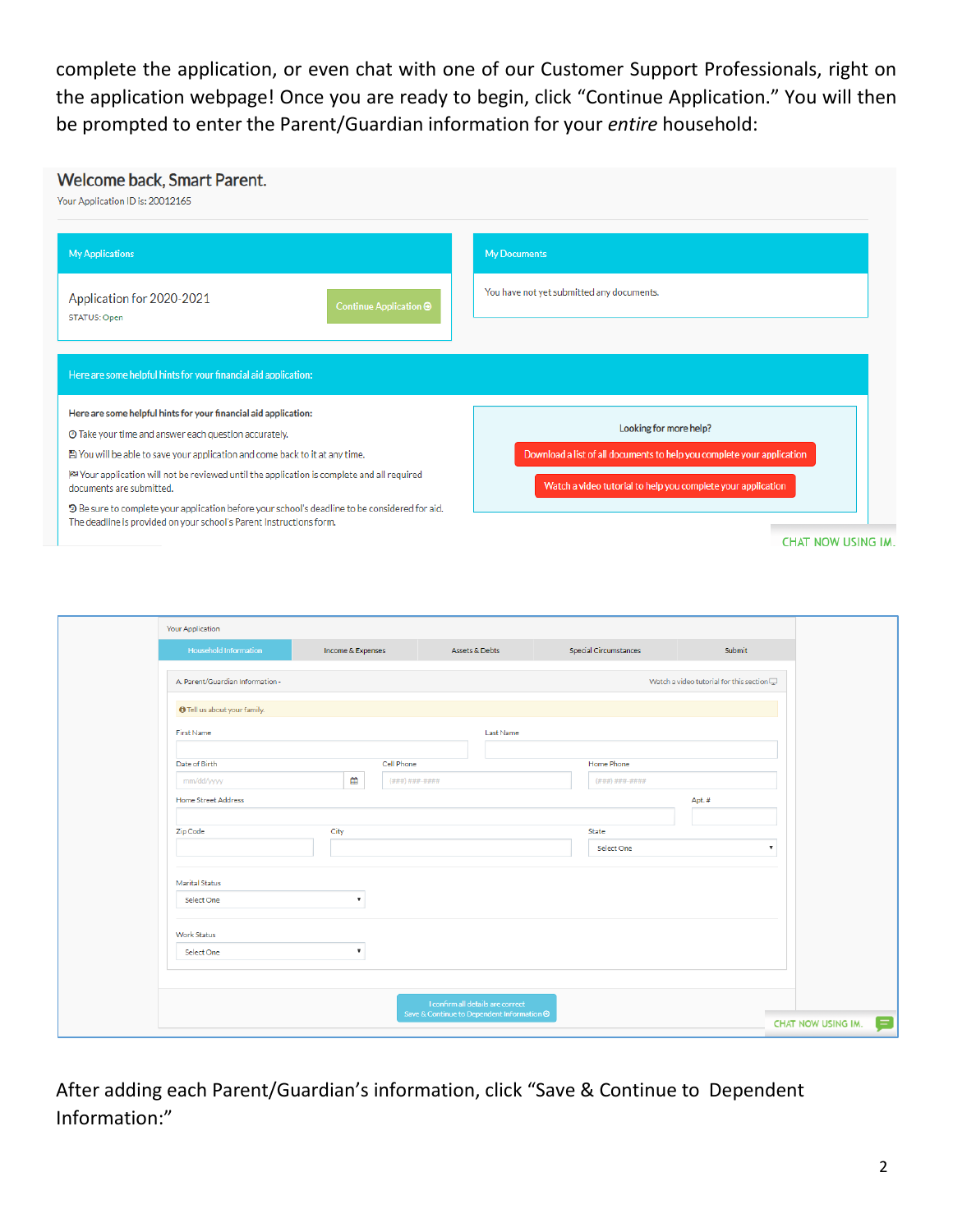complete the application, or even chat with one of our Customer Support Professionals, right on the application webpage! Once you are ready to begin, click "Continue Application." You will then be prompted to enter the Parent/Guardian information for your *entire* household:

## Welcome back, Smart Parent. Your Application ID is: 20012165 My Applications My Documents You have not yet submitted any documents. Application for 2020-2021 STATUS: Open Here are some helpful hints for your financial aid application: Here are some helpful hints for your financial aid application: Looking for more help? © Take your time and answer each question accurately. Download a list of all documents to help you complete your application ■ You will be able to save your application and come back to it at any time. |※ Your application will not be reviewed until the application is complete and all required Watch a video tutorial to help you complete your application documents are submitted. D Be sure to complete your application before your school's deadline to be considered for aid.

The deadline is provided on your school's Parent Instructions form.

**CHAT NOW USING IM.** 

| <b>Your Application</b>             |                           |                                                                                 |           |                              |                                                |                           |
|-------------------------------------|---------------------------|---------------------------------------------------------------------------------|-----------|------------------------------|------------------------------------------------|---------------------------|
| <b>Household Information</b>        | Income & Expenses         | Assets & Debts                                                                  |           | <b>Special Circumstances</b> | Submit                                         |                           |
| A. Parent/Guardian Information -    |                           |                                                                                 |           |                              | Watch a video tutorial for this section $\Box$ |                           |
| <b>O</b> Tell us about your family. |                           |                                                                                 |           |                              |                                                |                           |
| First Name                          |                           |                                                                                 | Last Name |                              |                                                |                           |
| Date of Birth                       |                           | Cell Phone                                                                      |           | Home Phone                   |                                                |                           |
| mm/dd/yyyy                          | ≝                         | $(\# \# \#) \# \# \# \# \# \# \# \#$                                            |           | $(###) ### + ####$           |                                                |                           |
| Home Street Address                 |                           |                                                                                 |           |                              | Apt.#                                          |                           |
| Zip Code                            | City                      |                                                                                 |           | State<br>Select One          |                                                | $\boldsymbol{\mathrm{v}}$ |
|                                     |                           |                                                                                 |           |                              |                                                |                           |
| <b>Marital Status</b>               |                           |                                                                                 |           |                              |                                                |                           |
| Select One                          | $\boldsymbol{\mathrm{v}}$ |                                                                                 |           |                              |                                                |                           |
| Work Status                         |                           |                                                                                 |           |                              |                                                |                           |
| Select One                          | $\boldsymbol{\mathrm{v}}$ |                                                                                 |           |                              |                                                |                           |
|                                     |                           |                                                                                 |           |                              |                                                |                           |
|                                     |                           | I confirm all details are correct<br>Save & Continue to Dependent Information ● |           |                              |                                                |                           |
|                                     |                           |                                                                                 |           |                              |                                                | CHAT NOW USING IM.        |

After adding each Parent/Guardian's information, click "Save & Continue to Dependent Information:"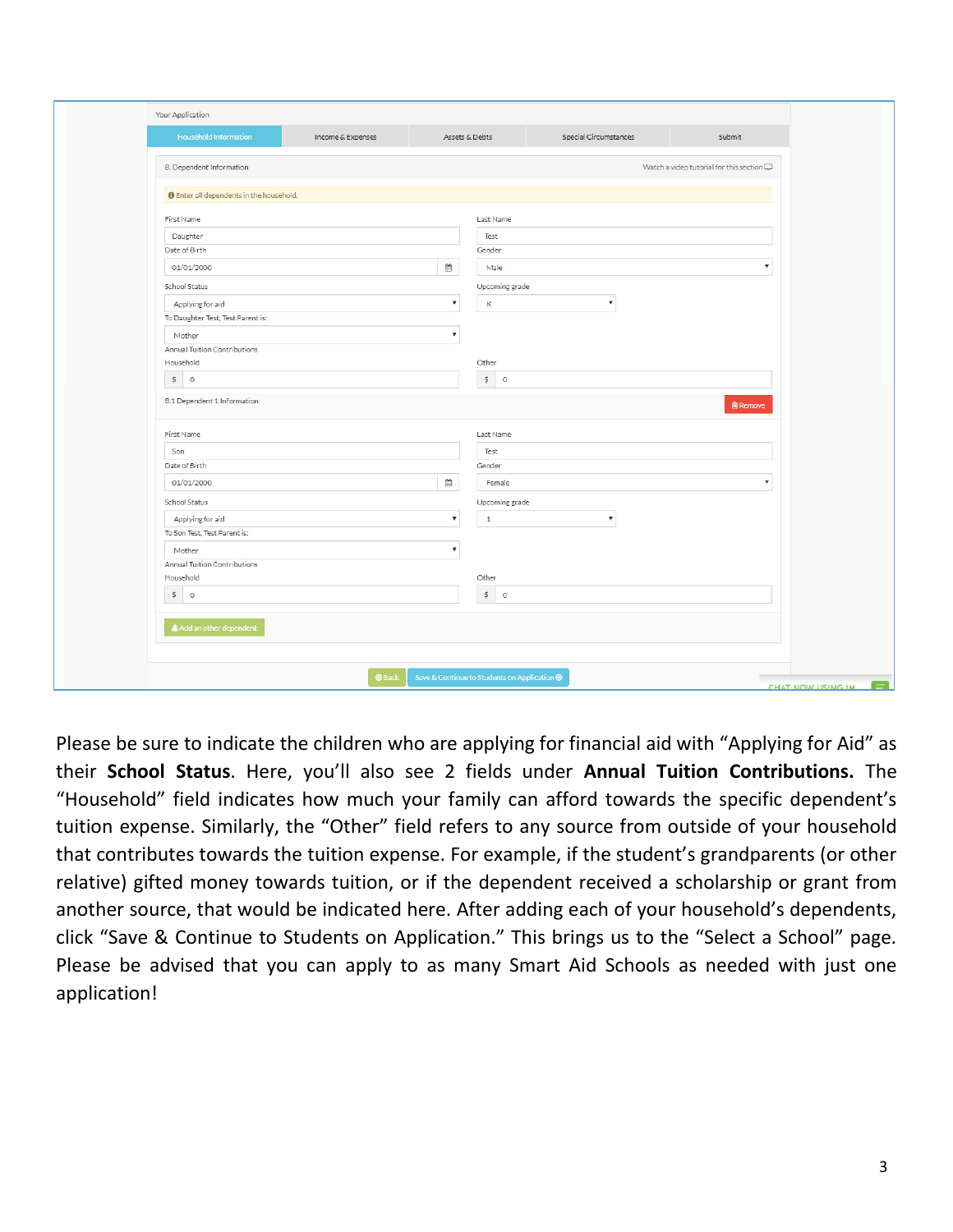|                                                  | Income & Expenses |                           | Assets & Debts                               | <b>Special Circumstances</b> | Submit                                            |
|--------------------------------------------------|-------------------|---------------------------|----------------------------------------------|------------------------------|---------------------------------------------------|
| <b>B. Dependent Information</b>                  |                   |                           |                                              |                              | Watch a video tutorial for this section $\square$ |
| <b>O</b> Enter all dependents in the household.  |                   |                           |                                              |                              |                                                   |
| First Name                                       |                   |                           | Last Name                                    |                              |                                                   |
| Daughter                                         |                   |                           | Test                                         |                              |                                                   |
| Date of Birth                                    |                   |                           | Gender                                       |                              |                                                   |
| 01/01/2000                                       |                   | ₩                         | Male                                         |                              | v                                                 |
| School Status                                    |                   |                           | Upcoming grade                               |                              |                                                   |
| Applying for aid                                 |                   | $\boldsymbol{\mathrm{v}}$ | $\mathsf K$                                  | $\boldsymbol{\mathrm{v}}$    |                                                   |
| To Daughter Test, Test Parent is:                |                   |                           |                                              |                              |                                                   |
| Mother                                           |                   | ۷                         |                                              |                              |                                                   |
| <b>Annual Tuition Contributions</b>              |                   |                           |                                              |                              |                                                   |
| Household                                        |                   |                           | Other                                        |                              |                                                   |
| \$ 0                                             |                   |                           | \$ 0                                         |                              |                                                   |
| <b>B.1 Dependent 1 Information</b><br>First Name |                   |                           | Last Name                                    |                              | <b>窗 Remove</b>                                   |
| Son                                              |                   |                           | Test                                         |                              |                                                   |
| Date of Birth                                    |                   |                           | Gender                                       |                              |                                                   |
|                                                  |                   | ₩                         | Female                                       |                              |                                                   |
| 01/01/2000                                       |                   |                           |                                              |                              | $\boldsymbol{\mathrm{v}}$                         |
| School Status                                    |                   |                           | Upcoming grade                               |                              |                                                   |
| Applying for aid                                 |                   | $\boldsymbol{\mathrm{v}}$ | $\mathbf{1}$                                 | $\boldsymbol{\mathrm{v}}$    |                                                   |
| To Son Test, Test Parent is:                     |                   |                           |                                              |                              |                                                   |
| Mother                                           |                   | v                         |                                              |                              |                                                   |
| <b>Annual Tuition Contributions</b>              |                   |                           |                                              |                              |                                                   |
| Household                                        |                   |                           | Other                                        |                              |                                                   |
| \$ 0                                             |                   |                           | $\frac{1}{2}$<br>$\overline{0}$              |                              |                                                   |
| Add an other dependent                           |                   |                           |                                              |                              |                                                   |
|                                                  |                   |                           |                                              |                              |                                                   |
|                                                  | <b>O</b> Back     |                           | Save & Continue to Students on Application ● |                              | CHAT NOW LISING IM                                |

Please be sure to indicate the children who are applying for financial aid with "Applying for Aid" as their **School Status**. Here, you'll also see 2 fields under **Annual Tuition Contributions.** The "Household" field indicates how much your family can afford towards the specific dependent's tuition expense. Similarly, the "Other" field refers to any source from outside of your household that contributes towards the tuition expense. For example, if the student's grandparents (or other relative) gifted money towards tuition, or if the dependent received a scholarship or grant from another source, that would be indicated here. After adding each of your household's dependents, click "Save & Continue to Students on Application." This brings us to the "Select a School" page. Please be advised that you can apply to as many Smart Aid Schools as needed with just one application!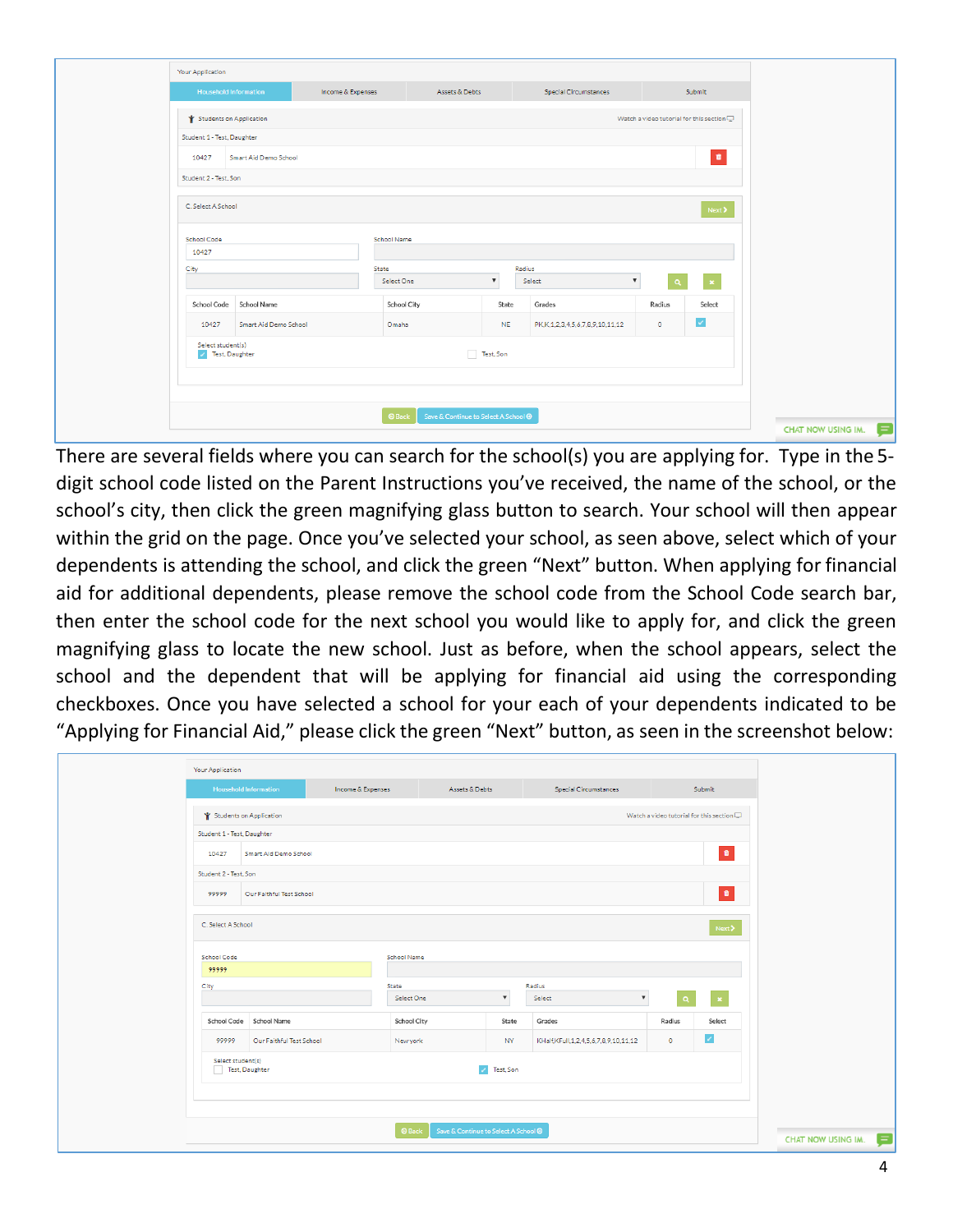| Your Application                      |                              |                   |                     |                                      |                                 |                                                   |                |
|---------------------------------------|------------------------------|-------------------|---------------------|--------------------------------------|---------------------------------|---------------------------------------------------|----------------|
|                                       | <b>Household Information</b> | Income & Expenses | Assets & Debts      |                                      | Special Circumstances           |                                                   | Submit         |
| Students on Application               |                              |                   |                     |                                      |                                 | Watch a video tutorial for this section $\square$ |                |
| Student 1 - Test, Daughter            |                              |                   |                     |                                      |                                 |                                                   |                |
| 10427                                 | Smart Aid Demo School        |                   |                     |                                      |                                 |                                                   | $\blacksquare$ |
| Student 2 - Test, Son                 |                              |                   |                     |                                      |                                 |                                                   |                |
| C. Select A School                    |                              |                   |                     |                                      |                                 |                                                   | Next >         |
| School Code<br>10427                  |                              |                   | School Name         |                                      |                                 |                                                   |                |
| City                                  |                              |                   | State<br>Select One | $\boldsymbol{\mathrm{v}}$            | Radius<br>Select                | $\overline{\mathbf{v}}$<br>Q                      |                |
| <b>School Code</b>                    | School Name                  |                   | School City         | State                                | Grades                          | Radius                                            | Select         |
| 10427                                 | Smart Aid Demo School        |                   | Omaha               | <b>NE</b>                            | PK,K,1,2,3,4,5,6,7,8,9,10,11,12 | $\circ$                                           | $\checkmark$   |
| Select student(s)<br>/ Test, Daughter |                              |                   |                     | Test, Son                            |                                 |                                                   |                |
|                                       |                              |                   | <b>O</b> Back       | Save & Continue to Select A School @ |                                 |                                                   |                |

There are several fields where you can search for the school(s) you are applying for. Type in the 5 digit school code listed on the Parent Instructions you've received, the name of the school, or the school's city, then click the green magnifying glass button to search. Your school will then appear within the grid on the page. Once you've selected your school, as seen above, select which of your dependents is attending the school, and click the green "Next" button. When applying for financial aid for additional dependents, please remove the school code from the School Code search bar, then enter the school code for the next school you would like to apply for, and click the green magnifying glass to locate the new school. Just as before, when the school appears, select the school and the dependent that will be applying for financial aid using the corresponding checkboxes. Once you have selected a school for your each of your dependents indicated to be "Applying for Financial Aid," please click the green "Next" button, as seen in the screenshot below:

| Your Application                    |                              |                   |               |                                             |                                      |                                                   |           |
|-------------------------------------|------------------------------|-------------------|---------------|---------------------------------------------|--------------------------------------|---------------------------------------------------|-----------|
|                                     | <b>Household Information</b> | Income & Expenses |               | Assets & Debts                              | <b>Special Circumstances</b>         |                                                   | Submit    |
| Students on Application             |                              |                   |               |                                             |                                      | Watch a video tutorial for this section $\square$ |           |
| Student 1 - Test, Daughter          |                              |                   |               |                                             |                                      |                                                   |           |
| 10427                               | Smart Aid Demo School        |                   |               |                                             |                                      |                                                   | $\bullet$ |
| Student 2 - Test. Son               |                              |                   |               |                                             |                                      |                                                   |           |
| 99999                               | Our Faithful Test School     |                   |               |                                             |                                      |                                                   | $\bullet$ |
| C. Select A School                  |                              |                   |               |                                             |                                      |                                                   | Next >    |
| School Code                         |                              |                   | School Name   |                                             |                                      |                                                   |           |
| 99999                               |                              |                   |               |                                             |                                      |                                                   |           |
| City                                |                              |                   | State         | $\boldsymbol{\mathrm{v}}$                   | Radius<br>$\boldsymbol{\mathrm{v}}$  |                                                   |           |
|                                     |                              |                   | Select One    |                                             | Select                               | $\alpha$                                          |           |
|                                     | School Code School Name      |                   | School City   | State                                       | Grades                               | Radius                                            | Select    |
| 99999                               | Our Faithful Test School     |                   | New york      | NY                                          | KHalf,KFull,1,2,4,5,6,7,8,9,10,11,12 | $\bullet$                                         | z         |
| Select student(s)<br>Test, Daughter |                              |                   |               | / Test, Son                                 |                                      |                                                   |           |
|                                     |                              |                   |               |                                             |                                      |                                                   |           |
|                                     |                              |                   | <b>O</b> Back | Save & Continue to Select A School <b>⊕</b> |                                      |                                                   |           |
|                                     |                              |                   |               |                                             |                                      |                                                   |           |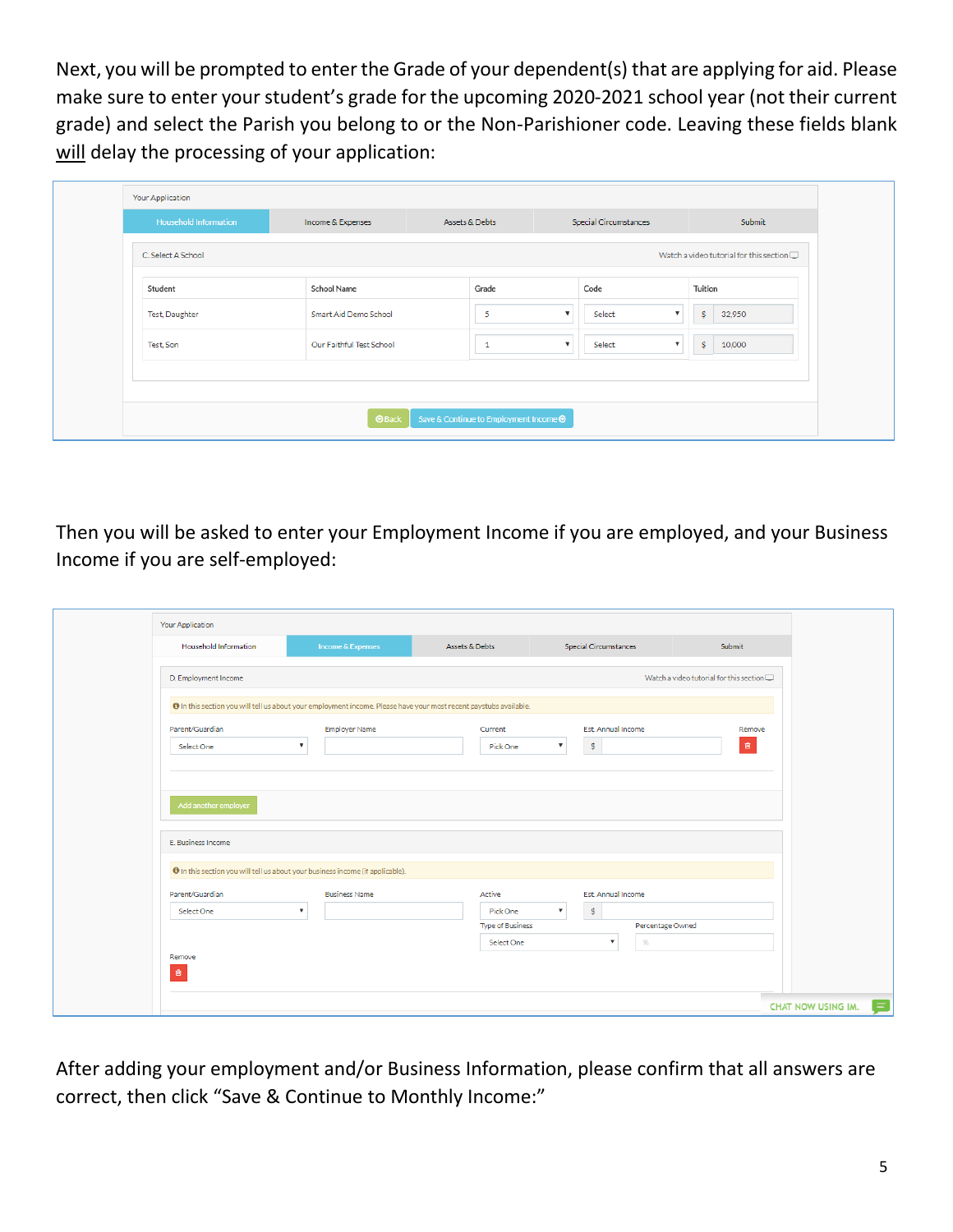Next, you will be prompted to enter the Grade of your dependent(s) that are applying for aid. Please make sure to enter your student's grade for the upcoming 2020-2021 school year (not their current grade) and select the Parish you belong to or the Non-Parishioner code. Leaving these fields blank will delay the processing of your application:

| <b>Household Information</b> | Income & Expenses        | Assets & Debts | <b>Special Circumstances</b> | Submit                                         |
|------------------------------|--------------------------|----------------|------------------------------|------------------------------------------------|
|                              |                          |                |                              |                                                |
| C. Select A School           |                          |                |                              | Watch a video tutorial for this section $\Box$ |
|                              |                          |                |                              |                                                |
| Student                      | School Name              | Grade          | Code                         | Tuition                                        |
| Test, Daughter               | Smart Aid Demo School    | 5              | Select                       | \$<br>32,950                                   |
| Test, Son                    | Our Faithful Test School |                | Select<br>▼                  | \$<br>10,000                                   |
|                              |                          |                |                              |                                                |
|                              |                          |                |                              |                                                |
|                              |                          |                |                              |                                                |

Then you will be asked to enter your Employment Income if you are employed, and your Business Income if you are self-employed:

| Your Application                           |                                                                                                                   |                                                             |                                                                                                            |                                                   |
|--------------------------------------------|-------------------------------------------------------------------------------------------------------------------|-------------------------------------------------------------|------------------------------------------------------------------------------------------------------------|---------------------------------------------------|
| <b>Household Information</b>               | Income & Expenses                                                                                                 | Assets & Debts                                              | <b>Special Circumstances</b>                                                                               | Submit                                            |
| D. Employment Income                       |                                                                                                                   |                                                             |                                                                                                            | Watch a video tutorial for this section $\square$ |
|                                            | O In this section you will tell us about your employment income. Please have your most recent paystubs available. |                                                             |                                                                                                            |                                                   |
| Parent/Guardian<br>Select One              | Employer Name<br>$\boldsymbol{\mathrm{v}}$                                                                        | Current<br>Pick One                                         | Est. Annual Income<br>\$<br>$\mathbf{v}$                                                                   | Remove<br>$\hat{\mathbf{B}}$                      |
| Add another employer<br>E. Business Income |                                                                                                                   |                                                             |                                                                                                            |                                                   |
|                                            | O In this section you will tell us about your business income (if applicable).                                    |                                                             |                                                                                                            |                                                   |
| Parent/Guardian<br>Select One              | <b>Business Name</b><br>$\boldsymbol{\mathrm{v}}$                                                                 | Active<br>Pick One<br><b>Type of Business</b><br>Select One | Est. Annual Income<br>\$<br>$\mathbf{v}$<br>Percentage Owned<br>$\frac{9}{6}$<br>$\boldsymbol{\mathrm{v}}$ |                                                   |
| Remove<br>音                                |                                                                                                                   |                                                             |                                                                                                            |                                                   |
|                                            |                                                                                                                   |                                                             |                                                                                                            | <b>CHAT NOW USING IM.</b>                         |

After adding your employment and/or Business Information, please confirm that all answers are correct, then click "Save & Continue to Monthly Income:"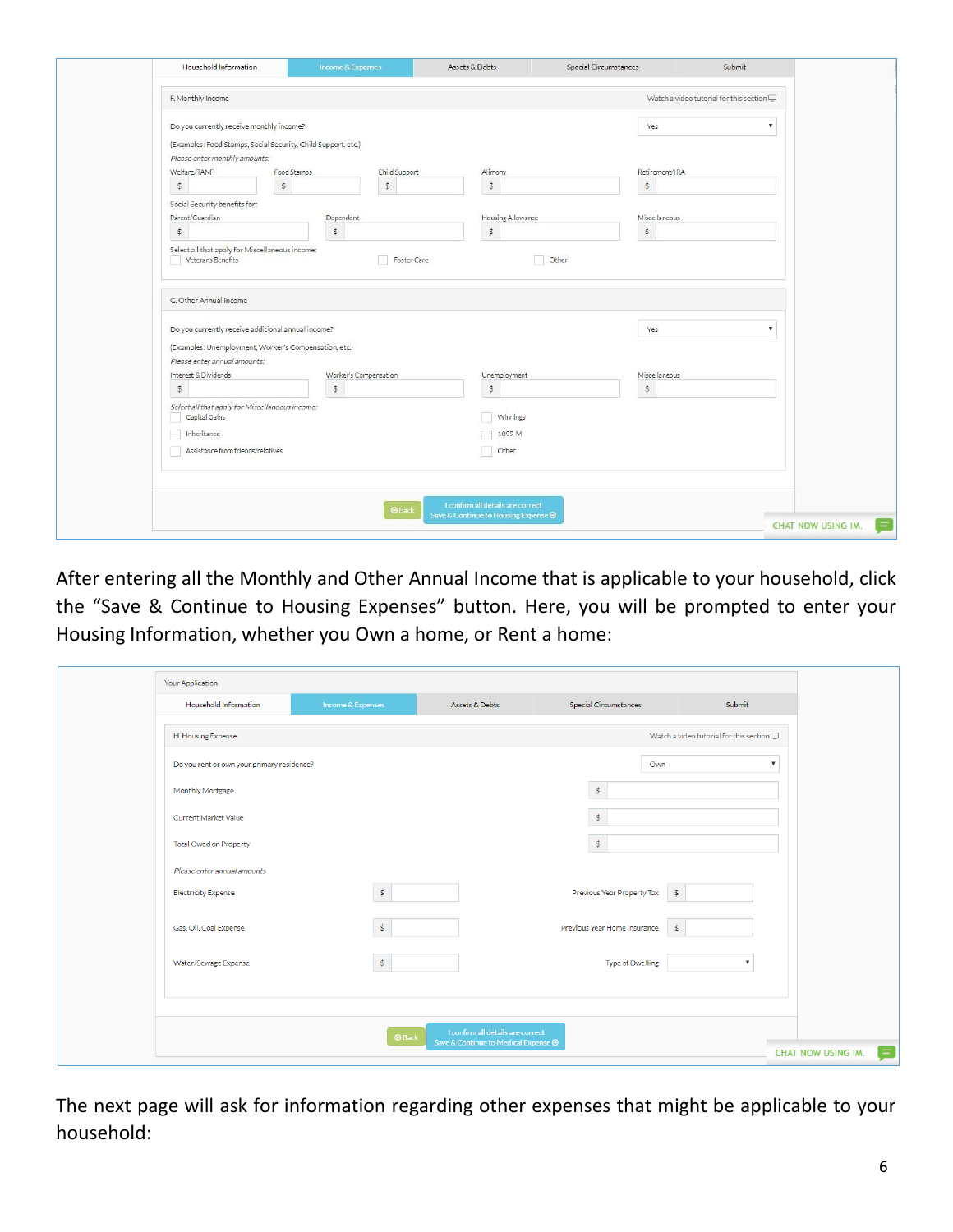| Household Information                                                                                     | Income & Expenses            | Assets & Debts                                                                   | Special Circumstances<br>Submit                   |                           |
|-----------------------------------------------------------------------------------------------------------|------------------------------|----------------------------------------------------------------------------------|---------------------------------------------------|---------------------------|
| F. Monthly Income                                                                                         |                              |                                                                                  | Watch a video tutorial for this section $\square$ |                           |
| Do you currently receive monthly income?<br>(Examples: Food Stamps, Social Security, Child Support, etc.) |                              |                                                                                  | Yes                                               | ۰                         |
| Please enter monthly amounts:                                                                             |                              |                                                                                  |                                                   |                           |
| Welfare/TANF                                                                                              | Food Stamps<br>Child Support | Alimony                                                                          | Retirement/IRA                                    |                           |
| \$                                                                                                        | $\mathbb{S}$<br>$\mathsf{S}$ | $\hat{\mathcal{Z}}$                                                              | $\ddot{\varphi}$                                  |                           |
| Social Security benefits for:                                                                             |                              |                                                                                  |                                                   |                           |
| Parent/Guardian                                                                                           | Dependent                    | Housing Allowance                                                                | Miscellaneous                                     |                           |
| \$                                                                                                        | $\mathbb{S}$                 | $\mathfrak{s}$                                                                   | $\ddot{\$}$                                       |                           |
| Veterans Benefits                                                                                         | Foster Care                  | Other                                                                            |                                                   |                           |
| G. Other Annual Income                                                                                    |                              |                                                                                  |                                                   |                           |
| Do you currently receive additional annual income?                                                        |                              |                                                                                  | Yes                                               | ۰                         |
| (Examples: Unemployment, Worker's Compensation, etc.)<br>Please enter annual amounts:                     |                              |                                                                                  |                                                   |                           |
| Interest & Dividends                                                                                      | Worker's Compensation        | Unemployment                                                                     | Miscellaneous                                     |                           |
| $\mathbb{S}$                                                                                              | $\mathbb{S}$                 | \$                                                                               | $\hat{\varphi}$                                   |                           |
| Select all that apply for Miscellaneous income:<br>Capital Gains                                          |                              | Winnings                                                                         |                                                   |                           |
| Inheritance                                                                                               |                              | 1099-M                                                                           |                                                   |                           |
| Assistance from friends/relatives                                                                         |                              | Other                                                                            |                                                   |                           |
|                                                                                                           |                              |                                                                                  |                                                   |                           |
|                                                                                                           | <b>O</b> Back                | I confirm all details are correct<br>Save & Continue to Housing Expense <b>⊙</b> |                                                   | <b>CHAT NOW USING IM.</b> |
|                                                                                                           |                              |                                                                                  |                                                   |                           |

After entering all the Monthly and Other Annual Income that is applicable to your household, click the "Save & Continue to Housing Expenses" button. Here, you will be prompted to enter your Housing Information, whether you Own a home, or Rent a home:

| Your Application                           |                    |                                                                           |                                             |                                                   |
|--------------------------------------------|--------------------|---------------------------------------------------------------------------|---------------------------------------------|---------------------------------------------------|
| <b>Household Information</b>               | Income & Expenses  | Assets & Debts                                                            | <b>Special Circumstances</b>                | Submit                                            |
| H. Housing Expense                         |                    |                                                                           |                                             | Watch a video tutorial for this section $\square$ |
| Do you rent or own your primary residence? |                    |                                                                           | Own                                         | $\boldsymbol{\mathrm{v}}$                         |
| Monthly Mortgage                           |                    |                                                                           | $\mathsf{\$}$                               |                                                   |
| Current Market Value                       |                    |                                                                           | \$.                                         |                                                   |
| Total Owed on Property                     |                    |                                                                           | \$                                          |                                                   |
| Please enter annual amounts                |                    |                                                                           |                                             |                                                   |
| <b>Electricity Expense</b>                 | $\dot{\mathbb{S}}$ |                                                                           | Previous Year Property Tax<br>$\frac{1}{2}$ |                                                   |
| Gas, Oil, Coal Expense                     | \$                 |                                                                           | Previous Year Home Insurance<br>-\$         |                                                   |
| Water/Sewage Expense                       | \$                 |                                                                           | <b>Type of Dwelling</b>                     | $\overline{\mathbf{v}}$                           |
|                                            |                    |                                                                           |                                             |                                                   |
|                                            |                    |                                                                           |                                             |                                                   |
|                                            | <b>O</b> Back      | I confirm all details are correct<br>Save & Continue to Medical Expense → |                                             | CHAT NOW USING IM.                                |

The next page will ask for information regarding other expenses that might be applicable to your household: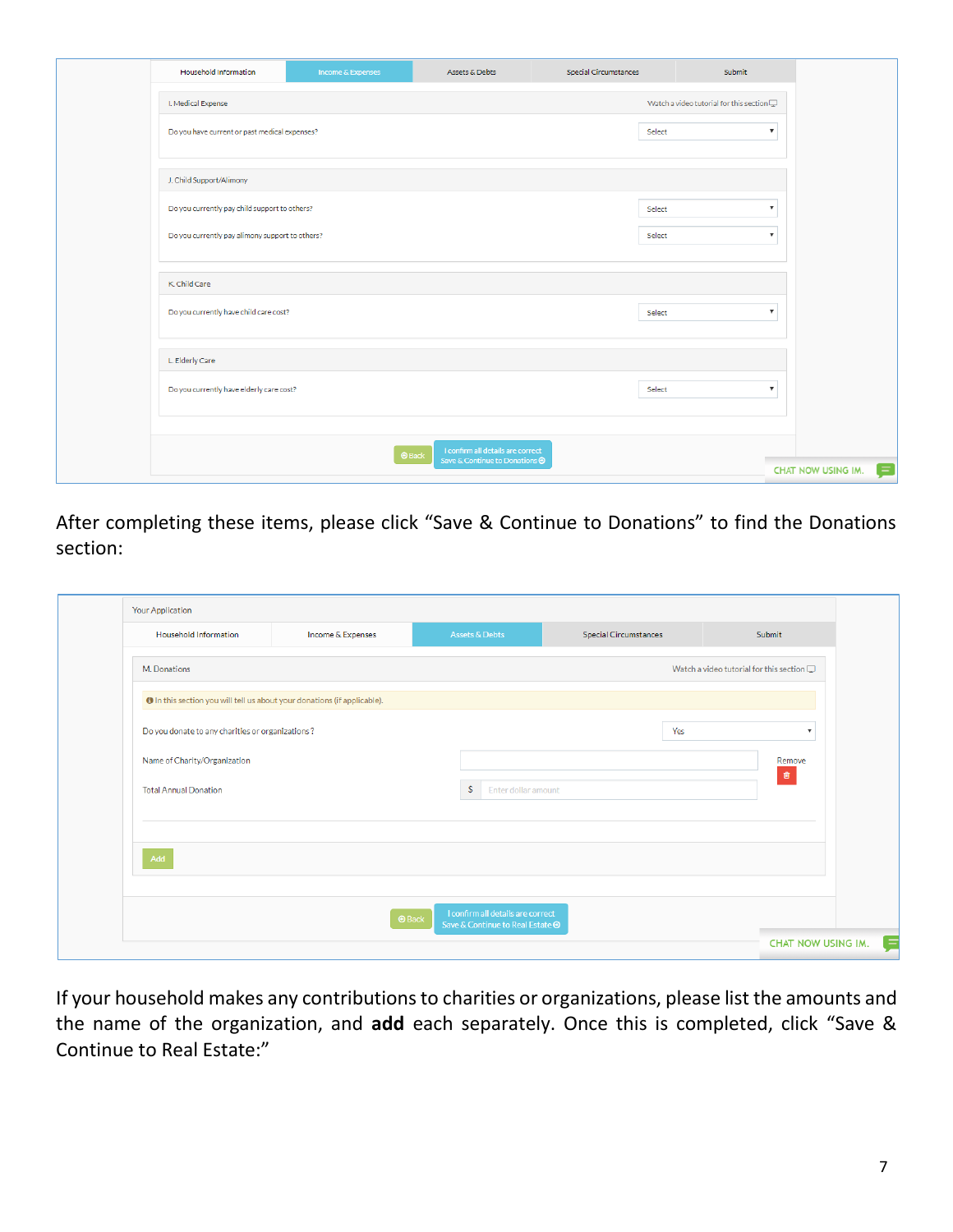| Household Information                           | Income & Expenses | Assets & Debts                        | Special Circumstances | Submit                                         |
|-------------------------------------------------|-------------------|---------------------------------------|-----------------------|------------------------------------------------|
| I. Medical Expense                              |                   |                                       |                       | Watch a video tutorial for this section $\Box$ |
| Do you have current or past medical expenses?   |                   |                                       | Select                | $\boldsymbol{\mathrm{v}}$                      |
|                                                 |                   |                                       |                       |                                                |
| J. Child Support/Alimony                        |                   |                                       |                       |                                                |
| Do you currently pay child support to others?   |                   |                                       | Select                | $\boldsymbol{\mathrm{v}}$                      |
| Do you currently pay alimony support to others? |                   |                                       | Select                | $\boldsymbol{\mathrm{v}}$                      |
|                                                 |                   |                                       |                       |                                                |
| K. Child Care                                   |                   |                                       |                       |                                                |
| Do you currently have child care cost?          |                   |                                       | Select                | $\boldsymbol{\mathrm{v}}$                      |
| L. Elderly Care                                 |                   |                                       |                       |                                                |
| Do you currently have elderly care cost?        |                   |                                       | Select                | $\boldsymbol{\mathrm{v}}$                      |
|                                                 |                   |                                       |                       |                                                |
|                                                 | <b>O</b> Back     | I confirm all details are correct     |                       |                                                |
|                                                 |                   | Save & Continue to Donations <b>⊙</b> |                       | CHAT NOW USING IM.                             |

After completing these items, please click "Save & Continue to Donations" to find the Donations section:

| Household Information                                                    | Income & Expenses | Assets & Debts                      | <b>Special Circumstances</b> | Submit                                            |
|--------------------------------------------------------------------------|-------------------|-------------------------------------|------------------------------|---------------------------------------------------|
| M. Donations                                                             |                   |                                     |                              | Watch a video tutorial for this section $\square$ |
| O In this section you will tell us about your donations (if applicable). |                   |                                     |                              |                                                   |
| Do you donate to any charities or organizations?                         |                   |                                     | Yes                          | $\boldsymbol{\mathrm{v}}$                         |
| Name of Charity/Organization                                             |                   |                                     |                              | Remove<br>$\widehat{\mathbf{u}}$                  |
| <b>Total Annual Donation</b>                                             |                   | $\mathsf{s}$<br>Enter dollar amount |                              |                                                   |
|                                                                          |                   |                                     |                              |                                                   |
| Add                                                                      |                   |                                     |                              |                                                   |
|                                                                          |                   |                                     |                              |                                                   |
|                                                                          |                   | I confirm all details are correct   |                              |                                                   |

If your household makes any contributions to charities or organizations, please list the amounts and the name of the organization, and **add** each separately. Once this is completed, click "Save & Continue to Real Estate:"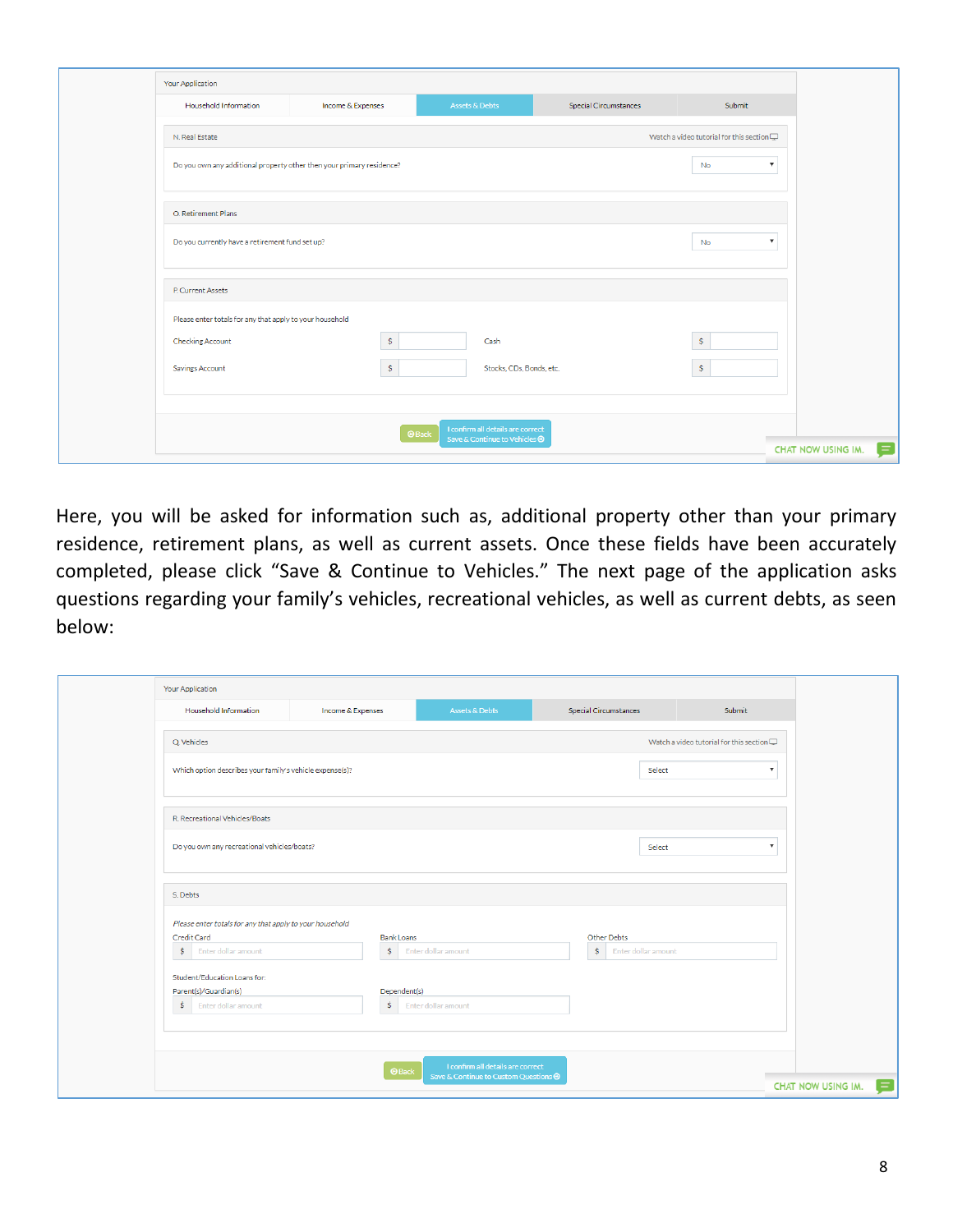| Your Application                                                      |                   |                                                                                     |                              |                                                |                           |
|-----------------------------------------------------------------------|-------------------|-------------------------------------------------------------------------------------|------------------------------|------------------------------------------------|---------------------------|
| Household Information                                                 | Income & Expenses | <b>Assets &amp; Debts</b>                                                           | <b>Special Circumstances</b> | Submit                                         |                           |
| N. Real Estate                                                        |                   |                                                                                     |                              | Watch a video tutorial for this section $\Box$ |                           |
| Do you own any additional property other then your primary residence? |                   |                                                                                     |                              | No                                             | $\boldsymbol{\mathrm{v}}$ |
| O. Retirement Plans                                                   |                   |                                                                                     |                              |                                                |                           |
| Do you currently have a retirement fund set up?                       |                   |                                                                                     |                              | No                                             | $\boldsymbol{\mathrm{v}}$ |
| P. Current Assets                                                     |                   |                                                                                     |                              |                                                |                           |
| Please enter totals for any that apply to your household              |                   |                                                                                     |                              |                                                |                           |
| <b>Checking Account</b>                                               | $\ddot{\text{S}}$ | Cash                                                                                |                              | $\frac{1}{2}$                                  |                           |
| Savings Account                                                       | \$                | Stocks, CDs, Bonds, etc.                                                            |                              | \$                                             |                           |
|                                                                       |                   |                                                                                     |                              |                                                |                           |
|                                                                       |                   | I confirm all details are correct<br><b>O</b> Back<br>Save & Continue to Vehicles ● |                              |                                                |                           |
|                                                                       |                   |                                                                                     |                              |                                                | CHAT NOW USING IM.        |

Here, you will be asked for information such as, additional property other than your primary residence, retirement plans, as well as current assets. Once these fields have been accurately completed, please click "Save & Continue to Vehicles." The next page of the application asks questions regarding your family's vehicles, recreational vehicles, as well as current debts, as seen below:

| <b>Your Application</b>                                  |                         |                                              |                       |                     |                                                   |
|----------------------------------------------------------|-------------------------|----------------------------------------------|-----------------------|---------------------|---------------------------------------------------|
| Household Information                                    | Income & Expenses       | <b>Assets &amp; Debts</b>                    | Special Circumstances |                     | Submit                                            |
| Q. Vehicles                                              |                         |                                              |                       |                     | Watch a video tutorial for this section $\square$ |
| Which option describes your family's vehicle expense(s)? |                         |                                              |                       | Select              | $\boldsymbol{\mathrm{v}}$                         |
|                                                          |                         |                                              |                       |                     |                                                   |
| R. Recreational Vehicles/Boats                           |                         |                                              |                       |                     |                                                   |
| Do you own any recreational vehicles/boats?              |                         |                                              |                       | Select              | $\boldsymbol{\mathrm{v}}$                         |
| S. Debts                                                 |                         |                                              |                       |                     |                                                   |
| Please enter totals for any that apply to your household |                         |                                              |                       |                     |                                                   |
| Credit Card<br>$$$ Enter dollar amount                   | <b>Bank Loans</b><br>\$ | Enter dollar amount                          | Other Debts<br>\$     | Enter dollar amount |                                                   |
| Student/Education Loans for:                             |                         |                                              |                       |                     |                                                   |
| Parent(s)/Guardian(s)<br>$$$ Enter dollar amount         | Dependent(s)<br>\$      | Enter dollar amount                          |                       |                     |                                                   |
|                                                          |                         |                                              |                       |                     |                                                   |
|                                                          | <b>O</b> Back           | I confirm all details are correct            |                       |                     |                                                   |
|                                                          |                         | Save & Continue to Custom Questions <b>→</b> |                       |                     | CHAT NOW USING IM.                                |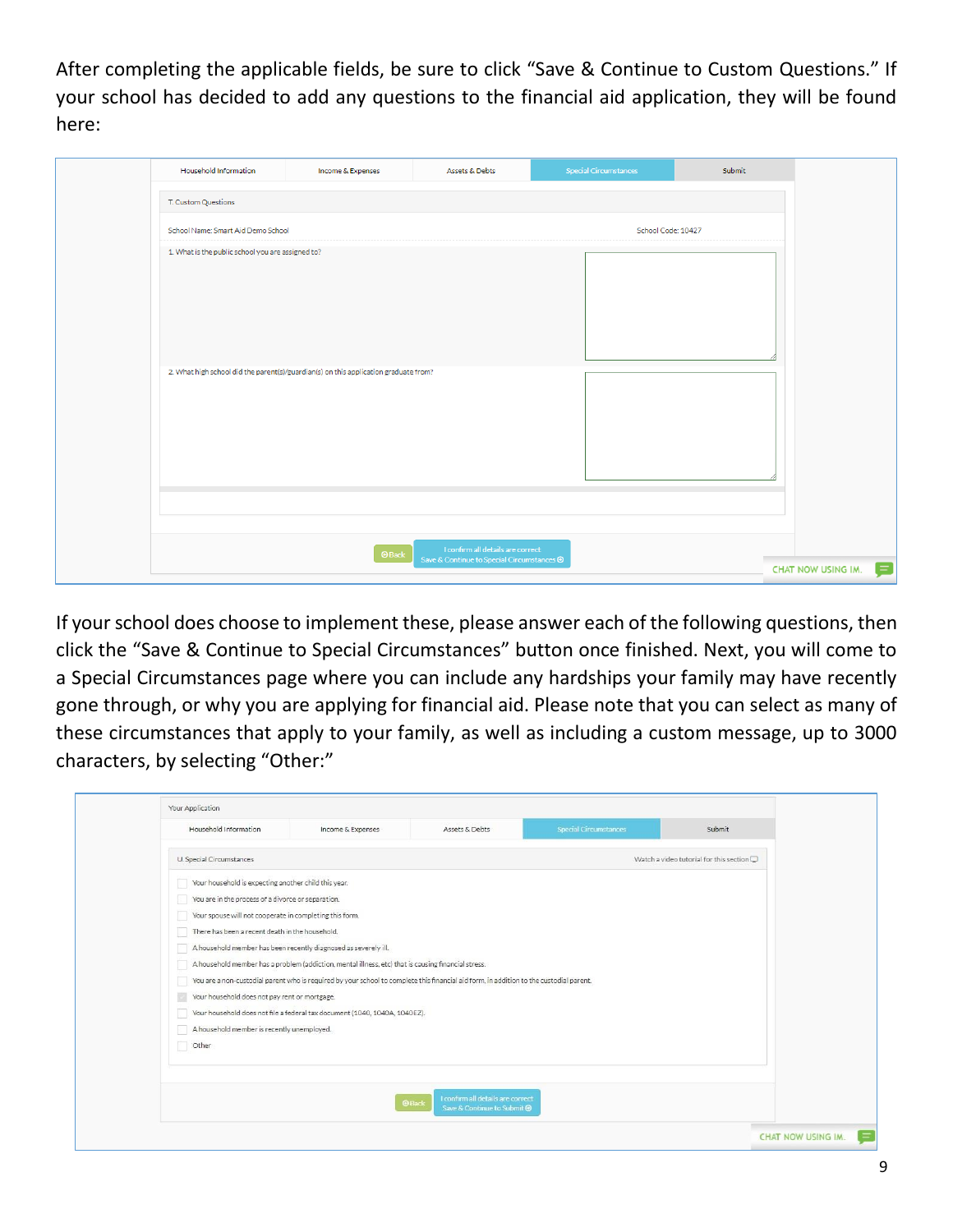After completing the applicable fields, be sure to click "Save & Continue to Custom Questions." If your school has decided to add any questions to the financial aid application, they will be found here:

|                     | <b>Household Information</b>                      | Income & Expenses                                                                    | Assets & Debts                                                                  | <b>Special Circumstances</b> | Submit             |
|---------------------|---------------------------------------------------|--------------------------------------------------------------------------------------|---------------------------------------------------------------------------------|------------------------------|--------------------|
| T. Custom Questions |                                                   |                                                                                      |                                                                                 |                              |                    |
|                     | School Name: Smart Aid Demo School                |                                                                                      |                                                                                 | School Code: 10427           |                    |
|                     | 1. What is the public school you are assigned to? | 2. What high school did the parent(s)/guardian(s) on this application graduate from? |                                                                                 |                              |                    |
|                     |                                                   |                                                                                      |                                                                                 |                              |                    |
|                     |                                                   |                                                                                      |                                                                                 |                              |                    |
|                     |                                                   | $\odot$ Back                                                                         | I confirm all details are correct<br>Save & Continue to Special Circumstances @ |                              |                    |
|                     |                                                   |                                                                                      |                                                                                 |                              | CHAT NOW USING IM. |

If your school does choose to implement these, please answer each of the following questions, then click the "Save & Continue to Special Circumstances" button once finished. Next, you will come to a Special Circumstances page where you can include any hardships your family may have recently gone through, or why you are applying for financial aid. Please note that you can select as many of these circumstances that apply to your family, as well as including a custom message, up to 3000 characters, by selecting "Other:"

| Household Information                                           | Income & Expenses                                                                                                                       | Assets & Debts                                                                   | Special Circumstances | Submit                                            |
|-----------------------------------------------------------------|-----------------------------------------------------------------------------------------------------------------------------------------|----------------------------------------------------------------------------------|-----------------------|---------------------------------------------------|
| U. Special Circumstances                                        |                                                                                                                                         |                                                                                  |                       | Watch a video tutorial for this section $\square$ |
| Your household is expecting another child this year.            |                                                                                                                                         |                                                                                  |                       |                                                   |
| You are in the process of a divorce or separation.              |                                                                                                                                         |                                                                                  |                       |                                                   |
| Your spouse will not cooperate in completing this form.         |                                                                                                                                         |                                                                                  |                       |                                                   |
| There has been a recent death in the household.                 |                                                                                                                                         |                                                                                  |                       |                                                   |
| A household member has been recently diagnosed as severely ill. |                                                                                                                                         |                                                                                  |                       |                                                   |
|                                                                 | A household member has a problem (addiction, mental illness, etc) that is causing financial stress.                                     |                                                                                  |                       |                                                   |
|                                                                 | You are a non-custodial parent who is required by your school to complete this financial aid form, in addition to the custodial parent. |                                                                                  |                       |                                                   |
| Your household does not pay rent or mortgage.                   |                                                                                                                                         |                                                                                  |                       |                                                   |
|                                                                 | Your household does not file a federal tax document (1040, 1040A, 1040EZ).                                                              |                                                                                  |                       |                                                   |
| A household member is recently unemployed.                      |                                                                                                                                         |                                                                                  |                       |                                                   |
| Other                                                           |                                                                                                                                         |                                                                                  |                       |                                                   |
|                                                                 |                                                                                                                                         |                                                                                  |                       |                                                   |
|                                                                 |                                                                                                                                         | I confirm all details are correct<br><b>OBack</b><br>Save & Continue to Submit @ |                       |                                                   |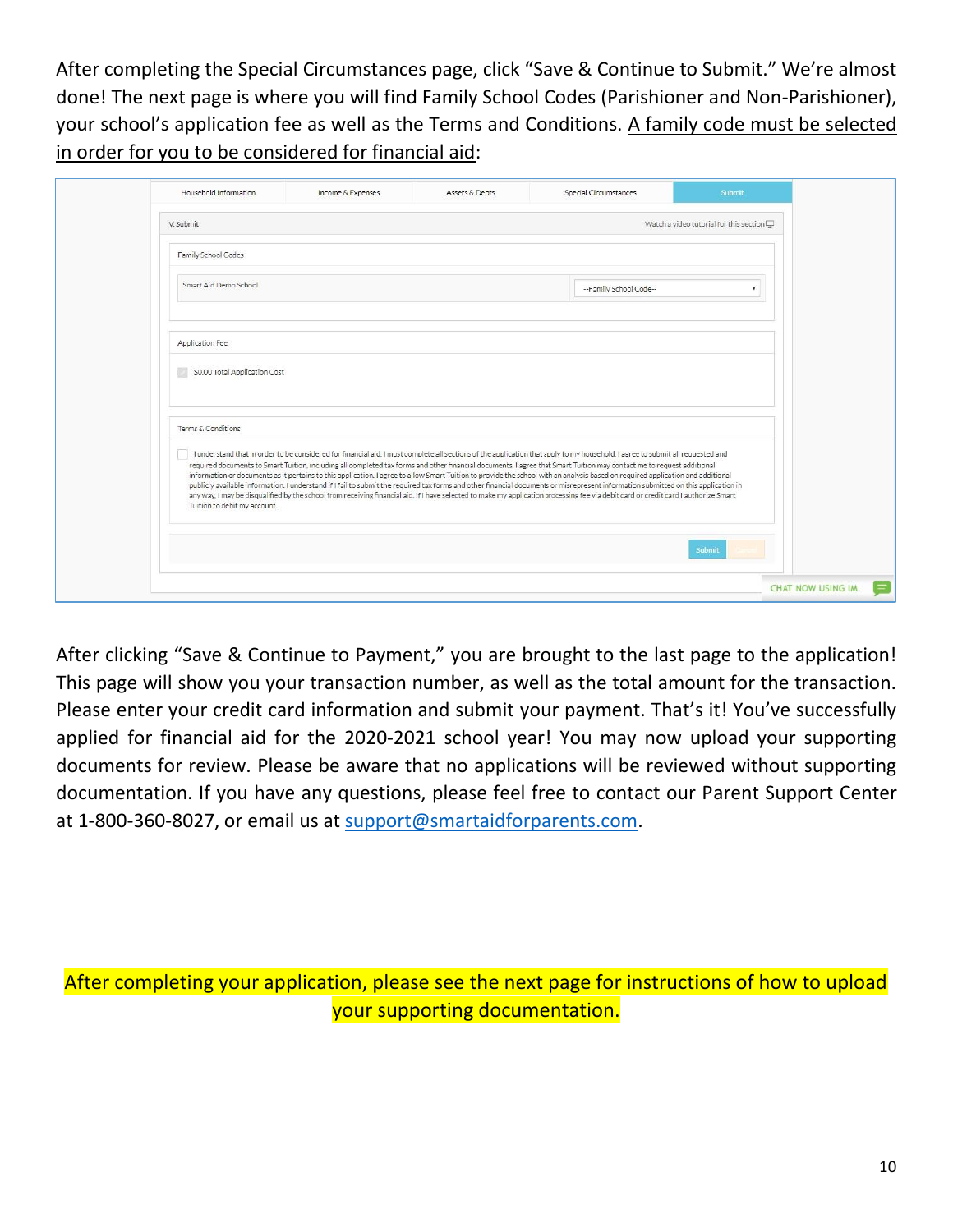After completing the Special Circumstances page, click "Save & Continue to Submit." We're almost done! The next page is where you will find Family School Codes (Parishioner and Non-Parishioner), your school's application fee as well as the Terms and Conditions. A family code must be selected in order for you to be considered for financial aid:

| Household Information         | Income & Expenses                                                                                                                                                                                                                                                                                                                                                                                                                                                                                                                                                                                                                                                                                                                                                                                                                                                                                                       | Assets & Debts | Special Circumstances  | Submit                                            |
|-------------------------------|-------------------------------------------------------------------------------------------------------------------------------------------------------------------------------------------------------------------------------------------------------------------------------------------------------------------------------------------------------------------------------------------------------------------------------------------------------------------------------------------------------------------------------------------------------------------------------------------------------------------------------------------------------------------------------------------------------------------------------------------------------------------------------------------------------------------------------------------------------------------------------------------------------------------------|----------------|------------------------|---------------------------------------------------|
| V. Submit                     |                                                                                                                                                                                                                                                                                                                                                                                                                                                                                                                                                                                                                                                                                                                                                                                                                                                                                                                         |                |                        | Watch a video tutorial for this section $\square$ |
| Family School Codes           |                                                                                                                                                                                                                                                                                                                                                                                                                                                                                                                                                                                                                                                                                                                                                                                                                                                                                                                         |                |                        |                                                   |
| Smart Aid Demo School         |                                                                                                                                                                                                                                                                                                                                                                                                                                                                                                                                                                                                                                                                                                                                                                                                                                                                                                                         |                | --Family School Code-- |                                                   |
| Application Fee               |                                                                                                                                                                                                                                                                                                                                                                                                                                                                                                                                                                                                                                                                                                                                                                                                                                                                                                                         |                |                        |                                                   |
| \$0.00 Total Application Cost |                                                                                                                                                                                                                                                                                                                                                                                                                                                                                                                                                                                                                                                                                                                                                                                                                                                                                                                         |                |                        |                                                   |
| Terms & Conditions            |                                                                                                                                                                                                                                                                                                                                                                                                                                                                                                                                                                                                                                                                                                                                                                                                                                                                                                                         |                |                        |                                                   |
| Tuition to debit my account.  | I understand that in order to be considered for financial aid, I must complete all sections of the application that apply to my household. I agree to submit all requested and<br>required documents to Smart Tuition, including all completed tax forms and other financial documents. I agree that Smart Tuition may contact me to request additional<br>information or documents as it pertains to this application. I agree to allow Smart Tuition to provide the school with an analysis based on required application and additional<br>publicly available information. I understand if I fail to submit the required tax forms and other financial documents or misrepresent information submitted on this application in<br>any way, I may be disqualified by the school from receiving financial aid. If I have selected to make my application processing fee via debit card or credit card I authorize Smart |                |                        |                                                   |
|                               |                                                                                                                                                                                                                                                                                                                                                                                                                                                                                                                                                                                                                                                                                                                                                                                                                                                                                                                         |                |                        | Submit                                            |
|                               |                                                                                                                                                                                                                                                                                                                                                                                                                                                                                                                                                                                                                                                                                                                                                                                                                                                                                                                         |                |                        | CHAT NOW USING IM.                                |

After clicking "Save & Continue to Payment," you are brought to the last page to the application! This page will show you your transaction number, as well as the total amount for the transaction. Please enter your credit card information and submit your payment. That's it! You've successfully applied for financial aid for the 2020-2021 school year! You may now upload your supporting documents for review. Please be aware that no applications will be reviewed without supporting documentation. If you have any questions, please feel free to contact our Parent Support Center at 1-800-360-8027, or email us at support@smartaidforparents.com.

After completing your application, please see the next page for instructions of how to upload your supporting documentation.